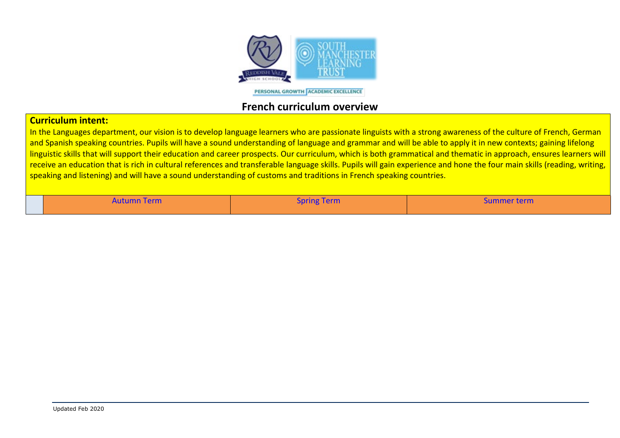

PERSONAL GROWTH ACADEMIC EXCELLENCE

## **French curriculum overview**

## **Curriculum intent:**

In the Languages department, our vision is to develop language learners who are passionate linguists with a strong awareness of the culture of French, German and Spanish speaking countries. Pupils will have a sound understanding of language and grammar and will be able to apply it in new contexts; gaining lifelong linguistic skills that will support their education and career prospects. Our curriculum, which is both grammatical and thematic in approach, ensures learners will receive an education that is rich in cultural references and transferable language skills. Pupils will gain experience and hone the four main skills (reading, writing, speaking and listening) and will have a sound understanding of customs and traditions in French speaking countries.

| <b>Autumn Term</b> | $\sim$<br><b>Spring Term</b> | Summer term |
|--------------------|------------------------------|-------------|
|                    |                              |             |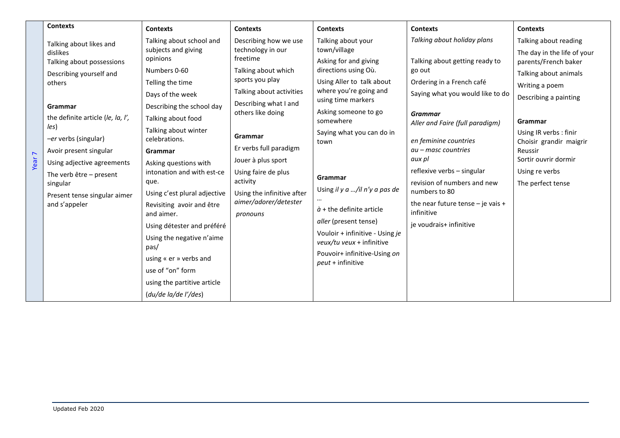|                   | <b>Contexts</b>                               |                                          |                                                                                                                                                   |                                                                                                                                                                 |                                                                                                     |                         |
|-------------------|-----------------------------------------------|------------------------------------------|---------------------------------------------------------------------------------------------------------------------------------------------------|-----------------------------------------------------------------------------------------------------------------------------------------------------------------|-----------------------------------------------------------------------------------------------------|-------------------------|
|                   |                                               | <b>Contexts</b>                          | <b>Contexts</b>                                                                                                                                   | <b>Contexts</b>                                                                                                                                                 | <b>Contexts</b>                                                                                     | <b>Contexts</b>         |
|                   | Talking about likes and                       | Talking about school and                 | Describing how we use                                                                                                                             | Talking about your                                                                                                                                              | Talking about holiday plans                                                                         | Talking about reading   |
|                   | dislikes                                      | subjects and giving<br>technology in our | town/village                                                                                                                                      |                                                                                                                                                                 | The day in the life of your                                                                         |                         |
|                   | Talking about possessions                     | opinions                                 | freetime<br>Talking about which                                                                                                                   | Asking for and giving<br>directions using Où.<br>Using Aller to talk about<br>where you're going and<br>using time markers<br>Asking someone to go<br>somewhere | Talking about getting ready to<br>go out                                                            | parents/French baker    |
|                   | Describing yourself and                       | Numbers 0-60                             |                                                                                                                                                   |                                                                                                                                                                 |                                                                                                     | Talking about animals   |
|                   | others                                        | Telling the time                         | sports you play                                                                                                                                   |                                                                                                                                                                 | Ordering in a French café                                                                           | Writing a poem          |
|                   |                                               | Days of the week                         | Talking about activities                                                                                                                          |                                                                                                                                                                 | Saying what you would like to do                                                                    | Describing a painting   |
|                   | Grammar                                       | Describing the school day                | Describing what I and                                                                                                                             |                                                                                                                                                                 |                                                                                                     |                         |
|                   | the definite article (le, la, l',             | Talking about food                       | others like doing                                                                                                                                 |                                                                                                                                                                 | <b>Grammar</b>                                                                                      | Grammar                 |
|                   | les)                                          | Talking about winter                     |                                                                                                                                                   |                                                                                                                                                                 | Aller and Faire (full paradigm)                                                                     | Using IR verbs: finir   |
|                   | -er verbs (singular)                          | celebrations.                            | Grammar<br>Er verbs full paradigm<br>Jouer à plus sport<br>Using faire de plus<br>activity<br>Using the infinitive after<br>aimer/adorer/detester | Saying what you can do in<br>town                                                                                                                               | en feminine countries<br>$au - masc$ countries<br>aux pl                                            | Choisir grandir maigrir |
|                   | Avoir present singular                        | Grammar                                  |                                                                                                                                                   |                                                                                                                                                                 |                                                                                                     | Reussir                 |
| Year <sub>7</sub> | Using adjective agreements                    | Asking questions with                    |                                                                                                                                                   |                                                                                                                                                                 |                                                                                                     | Sortir ouvrir dormir    |
|                   | The verb $\hat{e}$ tre – present              | intonation and with est-ce               |                                                                                                                                                   | Grammar<br>Using il y $a$ /il n'y a pas de<br>$\dot{a}$ + the definite article                                                                                  | reflexive verbs - singular                                                                          | Using re verbs          |
|                   | singular                                      | que.                                     |                                                                                                                                                   |                                                                                                                                                                 | revision of numbers and new<br>numbers to 80<br>the near future tense $-$ je vais $+$<br>infinitive | The perfect tense       |
|                   | Present tense singular aimer<br>and s'appeler | Using c'est plural adjective             |                                                                                                                                                   |                                                                                                                                                                 |                                                                                                     |                         |
|                   |                                               | Revisiting avoir and être                |                                                                                                                                                   |                                                                                                                                                                 |                                                                                                     |                         |
|                   |                                               | and aimer.                               | pronouns                                                                                                                                          |                                                                                                                                                                 |                                                                                                     |                         |
|                   |                                               | Using détester and préféré               |                                                                                                                                                   | aller (present tense)                                                                                                                                           | je voudrais+ infinitive                                                                             |                         |
|                   |                                               | Using the negative n'aime                |                                                                                                                                                   | Vouloir + infinitive - Using je<br>veux/tu veux + infinitive                                                                                                    |                                                                                                     |                         |
|                   |                                               | pas/                                     |                                                                                                                                                   |                                                                                                                                                                 |                                                                                                     |                         |
|                   |                                               | using « er » verbs and                   |                                                                                                                                                   | Pouvoir+ infinitive-Using on<br>peut + infinitive                                                                                                               |                                                                                                     |                         |
|                   |                                               | use of "on" form                         |                                                                                                                                                   |                                                                                                                                                                 |                                                                                                     |                         |
|                   |                                               | using the partitive article              |                                                                                                                                                   |                                                                                                                                                                 |                                                                                                     |                         |
|                   |                                               | (du/de la/de l'/des)                     |                                                                                                                                                   |                                                                                                                                                                 |                                                                                                     |                         |
|                   |                                               |                                          |                                                                                                                                                   |                                                                                                                                                                 |                                                                                                     |                         |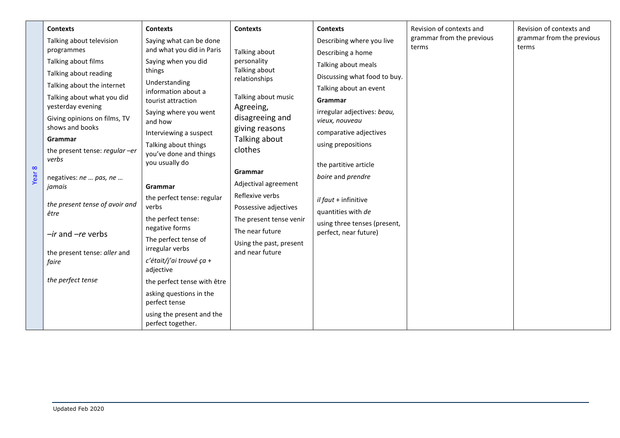|          | <b>Contexts</b>                                   | <b>Contexts</b>                                | <b>Contexts</b>                                                     | <b>Contexts</b>              | Revision of contexts and  | Revision of contexts and                      |  |  |
|----------|---------------------------------------------------|------------------------------------------------|---------------------------------------------------------------------|------------------------------|---------------------------|-----------------------------------------------|--|--|
|          | Talking about television                          | Saying what can be done                        | Talking about<br>personality<br>Talking about<br>relationships      | Describing where you live    | grammar from the previous | grammar from the previous<br>terms            |  |  |
|          | programmes                                        | and what you did in Paris                      |                                                                     | Describing a home            | terms                     |                                               |  |  |
|          | Talking about films                               | Saying when you did                            |                                                                     |                              | Talking about meals       |                                               |  |  |
|          | Talking about reading                             | things                                         |                                                                     | Discussing what food to buy. |                           |                                               |  |  |
|          | Talking about the internet                        | Understanding<br>information about a           |                                                                     | Talking about an event       |                           |                                               |  |  |
|          | Talking about what you did                        | tourist attraction                             | Talking about music<br>Agreeing,<br>disagreeing and                 | Grammar                      |                           |                                               |  |  |
|          | yesterday evening<br>Giving opinions on films, TV | Saying where you went<br>and how               |                                                                     |                              |                           | irregular adjectives: beau,<br>vieux, nouveau |  |  |
|          | shows and books                                   | Interviewing a suspect                         | giving reasons                                                      | comparative adjectives       |                           |                                               |  |  |
|          | Grammar<br>the present tense: regular-er<br>verbs | Talking about things<br>you've done and things | Talking about<br>clothes<br>Grammar                                 |                              |                           | using prepositions                            |  |  |
| $\infty$ |                                                   | you usually do                                 |                                                                     | the partitive article        | boire and prendre         |                                               |  |  |
| Year     | negatives: ne  pas, ne                            |                                                |                                                                     |                              |                           |                                               |  |  |
|          | jamais<br>Grammar                                 | Adjectival agreement                           |                                                                     |                              |                           |                                               |  |  |
|          | the present tense of avoir and<br>être            | the perfect tense: regular                     | Reflexive verbs<br>Possessive adjectives<br>The present tense venir | il faut + infinitive         |                           |                                               |  |  |
|          |                                                   | verbs                                          |                                                                     | quantities with de           |                           |                                               |  |  |
|          |                                                   | the perfect tense:<br>negative forms           |                                                                     | using three tenses (present, |                           |                                               |  |  |
|          | -ir and -re verbs                                 | The perfect tense of                           | The near future                                                     | perfect, near future)        |                           |                                               |  |  |
|          | the present tense: aller and                      | irregular verbs                                | Using the past, present<br>and near future                          |                              |                           |                                               |  |  |
|          | faire                                             | c'était/j'ai trouvé ça +<br>adjective          |                                                                     |                              |                           |                                               |  |  |
|          | the perfect tense                                 | the perfect tense with être                    |                                                                     |                              |                           |                                               |  |  |
|          |                                                   | asking questions in the<br>perfect tense       |                                                                     |                              |                           |                                               |  |  |
|          |                                                   | using the present and the<br>perfect together. |                                                                     |                              |                           |                                               |  |  |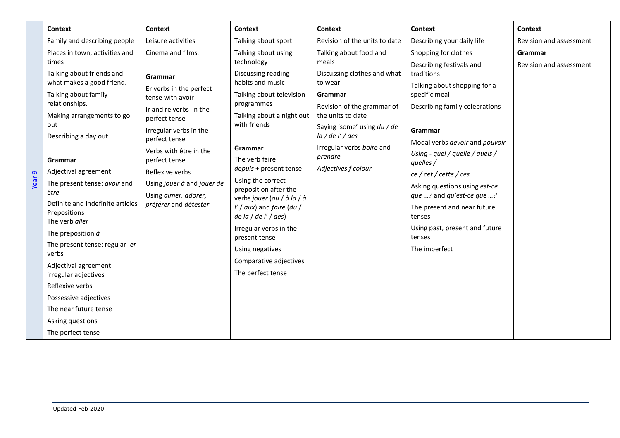|                   | <b>Context</b>                                                                                                                                                                                                                                                                                                                                                                                                                                                                                                                  | <b>Context</b>                                                                                                                                                                                                                                                                            | Context                                                                                                                                                                                                                                                                                                                                                                                                                                     | Context                                                                                                                                                                                                                | <b>Context</b>                                                                                                                                                                                                                                                                                                                                                                                                       | <b>Context</b>                     |
|-------------------|---------------------------------------------------------------------------------------------------------------------------------------------------------------------------------------------------------------------------------------------------------------------------------------------------------------------------------------------------------------------------------------------------------------------------------------------------------------------------------------------------------------------------------|-------------------------------------------------------------------------------------------------------------------------------------------------------------------------------------------------------------------------------------------------------------------------------------------|---------------------------------------------------------------------------------------------------------------------------------------------------------------------------------------------------------------------------------------------------------------------------------------------------------------------------------------------------------------------------------------------------------------------------------------------|------------------------------------------------------------------------------------------------------------------------------------------------------------------------------------------------------------------------|----------------------------------------------------------------------------------------------------------------------------------------------------------------------------------------------------------------------------------------------------------------------------------------------------------------------------------------------------------------------------------------------------------------------|------------------------------------|
|                   | Family and describing people                                                                                                                                                                                                                                                                                                                                                                                                                                                                                                    | Leisure activities                                                                                                                                                                                                                                                                        | Talking about sport                                                                                                                                                                                                                                                                                                                                                                                                                         | Revision of the units to date                                                                                                                                                                                          | Describing your daily life                                                                                                                                                                                                                                                                                                                                                                                           | Revision and assessment            |
|                   | Places in town, activities and<br>times                                                                                                                                                                                                                                                                                                                                                                                                                                                                                         | Cinema and films.                                                                                                                                                                                                                                                                         | Talking about using<br>technology                                                                                                                                                                                                                                                                                                                                                                                                           | Talking about food and<br>meals                                                                                                                                                                                        | Shopping for clothes                                                                                                                                                                                                                                                                                                                                                                                                 | Grammar<br>Revision and assessment |
| Year <sub>9</sub> | Talking about friends and<br>what makes a good friend.<br>Talking about family<br>relationships.<br>Making arrangements to go<br>out<br>Describing a day out<br>Grammar<br>Adjectival agreement<br>The present tense: avoir and<br>être<br>Definite and indefinite articles<br>Prepositions<br>The verb aller<br>The preposition $\dot{a}$<br>The present tense: regular -er<br>verbs<br>Adjectival agreement:<br>irregular adjectives<br>Reflexive verbs<br>Possessive adjectives<br>The near future tense<br>Asking questions | Grammar<br>Er verbs in the perfect<br>tense with avoir<br>Ir and re verbs in the<br>perfect tense<br>Irregular verbs in the<br>perfect tense<br>Verbs with être in the<br>perfect tense<br>Reflexive verbs<br>Using jouer à and jouer de<br>Using aimer, adorer,<br>préférer and détester | Discussing reading<br>habits and music<br>Talking about television<br>programmes<br>Talking about a night out<br>with friends<br>Grammar<br>The verb faire<br>depuis + present tense<br>Using the correct<br>preposition after the<br>verbs jouer (au / à la / à<br>$\frac{1}{2}$ aux) and faire (du /<br>de la / de l' / des)<br>Irregular verbs in the<br>present tense<br>Using negatives<br>Comparative adjectives<br>The perfect tense | Discussing clothes and what<br>to wear<br>Grammar<br>Revision of the grammar of<br>the units to date<br>Saying 'some' using du / de<br>la / de l' / des<br>Irregular verbs boire and<br>prendre<br>Adjectives f colour | Describing festivals and<br>traditions<br>Talking about shopping for a<br>specific meal<br>Describing family celebrations<br>Grammar<br>Modal verbs devoir and pouvoir<br>Using - quel / quelle / quels /<br>quelles /<br>ce / cet / cette / ces<br>Asking questions using est-ce<br>que ? and qu'est-ce que ?<br>The present and near future<br>tenses<br>Using past, present and future<br>tenses<br>The imperfect |                                    |
|                   | The perfect tense                                                                                                                                                                                                                                                                                                                                                                                                                                                                                                               |                                                                                                                                                                                                                                                                                           |                                                                                                                                                                                                                                                                                                                                                                                                                                             |                                                                                                                                                                                                                        |                                                                                                                                                                                                                                                                                                                                                                                                                      |                                    |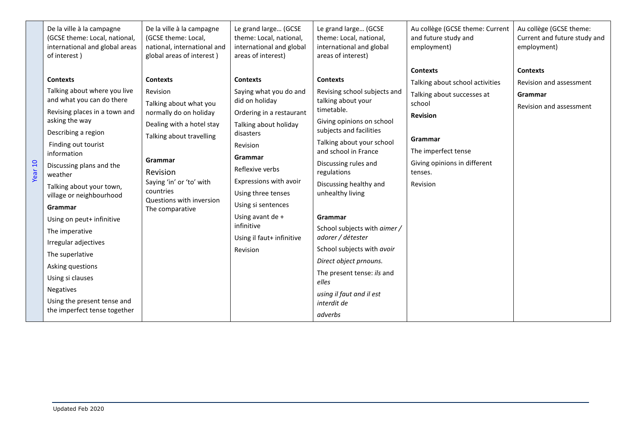|         | De la ville à la campagne<br>(GCSE theme: Local, national,<br>international and global areas<br>of interest)                                                                                                                                                                                                                                                                                                                             | De la ville à la campagne<br>(GCSE theme: Local,<br>national, international and<br>global areas of interest)                                                                                                                                            | Le grand large (GCSE<br>theme: Local, national,<br>international and global<br>areas of interest)                                                                                                                                                                                                                        | Le grand large (GCSE<br>theme: Local, national,<br>international and global<br>areas of interest)                                                                                                                                                                                                                                                                                                                                                    | Au collège (GCSE theme: Current<br>and future study and<br>employment)                                                                                                                                 | Au collège (GCSE theme:<br>Current and future study and<br>employment)           |
|---------|------------------------------------------------------------------------------------------------------------------------------------------------------------------------------------------------------------------------------------------------------------------------------------------------------------------------------------------------------------------------------------------------------------------------------------------|---------------------------------------------------------------------------------------------------------------------------------------------------------------------------------------------------------------------------------------------------------|--------------------------------------------------------------------------------------------------------------------------------------------------------------------------------------------------------------------------------------------------------------------------------------------------------------------------|------------------------------------------------------------------------------------------------------------------------------------------------------------------------------------------------------------------------------------------------------------------------------------------------------------------------------------------------------------------------------------------------------------------------------------------------------|--------------------------------------------------------------------------------------------------------------------------------------------------------------------------------------------------------|----------------------------------------------------------------------------------|
| Year 10 | <b>Contexts</b><br>Talking about where you live<br>and what you can do there<br>Revising places in a town and<br>asking the way<br>Describing a region<br>Finding out tourist<br>information<br>Discussing plans and the<br>weather<br>Talking about your town,<br>village or neighbourhood<br>Grammar<br>Using on peut+ infinitive<br>The imperative<br>Irregular adjectives<br>The superlative<br>Asking questions<br>Using si clauses | <b>Contexts</b><br>Revision<br>Talking about what you<br>normally do on holiday<br>Dealing with a hotel stay<br>Talking about travelling<br>Grammar<br>Revision<br>Saying 'in' or 'to' with<br>countries<br>Questions with inversion<br>The comparative | <b>Contexts</b><br>Saying what you do and<br>did on holiday<br>Ordering in a restaurant<br>Talking about holiday<br>disasters<br>Revision<br>Grammar<br>Reflexive verbs<br>Expressions with avoir<br>Using three tenses<br>Using si sentences<br>Using avant de +<br>infinitive<br>Using il faut+ infinitive<br>Revision | <b>Contexts</b><br>Revising school subjects and<br>talking about your<br>timetable.<br>Giving opinions on school<br>subjects and facilities<br>Talking about your school<br>and school in France<br>Discussing rules and<br>regulations<br>Discussing healthy and<br>unhealthy living<br>Grammar<br>School subjects with aimer /<br>adorer / détester<br>School subjects with avoir<br>Direct object prnouns.<br>The present tense: ils and<br>elles | <b>Contexts</b><br>Talking about school activities<br>Talking about successes at<br>school<br><b>Revision</b><br>Grammar<br>The imperfect tense<br>Giving opinions in different<br>tenses.<br>Revision | <b>Contexts</b><br>Revision and assessment<br>Grammar<br>Revision and assessment |
|         | Negatives<br>Using the present tense and<br>the imperfect tense together                                                                                                                                                                                                                                                                                                                                                                 |                                                                                                                                                                                                                                                         |                                                                                                                                                                                                                                                                                                                          | using il faut and il est<br>interdit de<br>adverbs                                                                                                                                                                                                                                                                                                                                                                                                   |                                                                                                                                                                                                        |                                                                                  |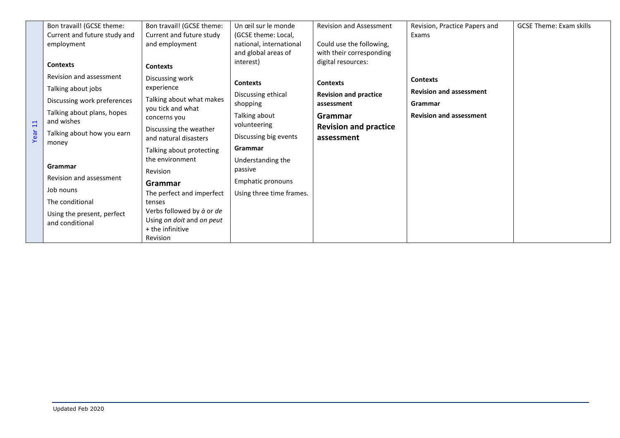|                 | Bon travail! (GCSE theme:                                                    | Bon travail! (GCSE theme:                                                               | Un œil sur le monde            | <b>Revision and Assessment</b>             | Revision, Practice Papers and  | <b>GCSE Theme: Exam skills</b> |
|-----------------|------------------------------------------------------------------------------|-----------------------------------------------------------------------------------------|--------------------------------|--------------------------------------------|--------------------------------|--------------------------------|
|                 | Current and future study and                                                 | Current and future study                                                                | (GCSE theme: Local,            |                                            | Exams                          |                                |
|                 | employment                                                                   | and employment                                                                          | national, international        | Could use the following,                   |                                |                                |
|                 |                                                                              |                                                                                         | and global areas of            | with their corresponding                   |                                |                                |
|                 | <b>Contexts</b>                                                              | <b>Contexts</b>                                                                         | interest)                      | digital resources:                         |                                |                                |
|                 | Revision and assessment                                                      | Discussing work                                                                         | <b>Contexts</b>                | <b>Contexts</b>                            | <b>Contexts</b>                |                                |
|                 | Talking about jobs                                                           | experience                                                                              |                                | <b>Revision and practice</b><br>assessment | <b>Revision and assessment</b> |                                |
|                 | Discussing work preferences                                                  | Talking about what makes<br>you tick and what<br>concerns you<br>Discussing the weather | Discussing ethical<br>shopping |                                            | Grammar                        |                                |
|                 | Talking about plans, hopes                                                   |                                                                                         | Talking about                  | Grammar                                    | <b>Revision and assessment</b> |                                |
| $\overline{11}$ | and wishes                                                                   |                                                                                         | volunteering                   | <b>Revision and practice</b>               |                                |                                |
| Year            | Talking about how you earn                                                   | and natural disasters                                                                   | Discussing big events          | assessment                                 |                                |                                |
|                 | money                                                                        |                                                                                         | Grammar                        |                                            |                                |                                |
|                 |                                                                              | Talking about protecting                                                                |                                |                                            |                                |                                |
|                 | the environment<br>Grammar<br>Revision<br>Revision and assessment<br>Grammar |                                                                                         | Understanding the              |                                            |                                |                                |
|                 |                                                                              |                                                                                         | passive                        |                                            |                                |                                |
|                 |                                                                              | Emphatic pronouns                                                                       |                                |                                            |                                |                                |
|                 | Job nouns                                                                    | The perfect and imperfect                                                               | Using three time frames.       |                                            |                                |                                |
|                 | The conditional                                                              | tenses                                                                                  |                                |                                            |                                |                                |
|                 | Using the present, perfect                                                   | Verbs followed by à or de                                                               |                                |                                            |                                |                                |
|                 | and conditional                                                              | Using on doit and on peut                                                               |                                |                                            |                                |                                |
|                 |                                                                              | + the infinitive                                                                        |                                |                                            |                                |                                |
|                 |                                                                              | Revision                                                                                |                                |                                            |                                |                                |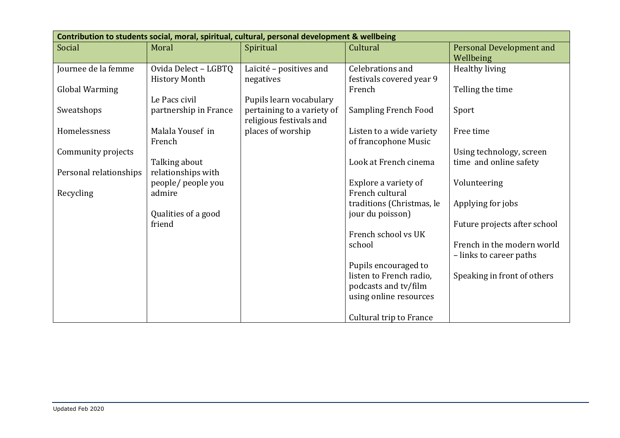| Contribution to students social, moral, spiritual, cultural, personal development & wellbeing |                              |                                                       |                                         |                                              |  |  |  |
|-----------------------------------------------------------------------------------------------|------------------------------|-------------------------------------------------------|-----------------------------------------|----------------------------------------------|--|--|--|
| Social                                                                                        | Moral                        | Spiritual                                             | Cultural                                | <b>Personal Development and</b><br>Wellbeing |  |  |  |
| Journee de la femme                                                                           | Ovida Delect - LGBTQ         | Laïcité - positives and                               | Celebrations and                        | Healthy living                               |  |  |  |
| Global Warming                                                                                | <b>History Month</b>         | negatives                                             | festivals covered year 9<br>French      | Telling the time                             |  |  |  |
|                                                                                               | Le Pacs civil                | Pupils learn vocabulary                               |                                         |                                              |  |  |  |
| Sweatshops                                                                                    | partnership in France        | pertaining to a variety of<br>religious festivals and | <b>Sampling French Food</b>             | Sport                                        |  |  |  |
| Homelessness                                                                                  | Malala Yousef in             | places of worship                                     | Listen to a wide variety                | Free time                                    |  |  |  |
|                                                                                               | French                       |                                                       | of francophone Music                    |                                              |  |  |  |
| Community projects                                                                            |                              |                                                       |                                         | Using technology, screen                     |  |  |  |
|                                                                                               | Talking about                |                                                       | Look at French cinema                   | time and online safety                       |  |  |  |
| Personal relationships                                                                        | relationships with           |                                                       |                                         |                                              |  |  |  |
| Recycling                                                                                     | people/ people you<br>admire |                                                       | Explore a variety of<br>French cultural | Volunteering                                 |  |  |  |
|                                                                                               |                              |                                                       | traditions (Christmas, le               | Applying for jobs                            |  |  |  |
|                                                                                               | Qualities of a good          |                                                       | jour du poisson)                        |                                              |  |  |  |
|                                                                                               | friend                       |                                                       |                                         | Future projects after school                 |  |  |  |
|                                                                                               |                              |                                                       | French school vs UK                     |                                              |  |  |  |
|                                                                                               |                              |                                                       | school                                  | French in the modern world                   |  |  |  |
|                                                                                               |                              |                                                       |                                         | - links to career paths                      |  |  |  |
|                                                                                               |                              |                                                       | Pupils encouraged to                    |                                              |  |  |  |
|                                                                                               |                              |                                                       | listen to French radio,                 | Speaking in front of others                  |  |  |  |
|                                                                                               |                              |                                                       | podcasts and tv/film                    |                                              |  |  |  |
|                                                                                               |                              |                                                       | using online resources                  |                                              |  |  |  |
|                                                                                               |                              |                                                       | Cultural trip to France                 |                                              |  |  |  |